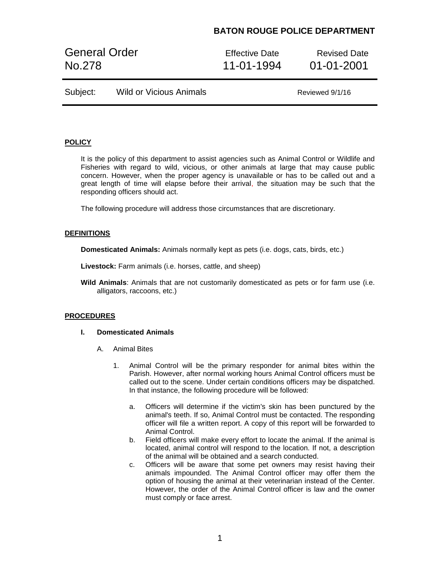# **BATON ROUGE POLICE DEPARTMENT**

General Order **Effective Date** Revised Date No.278 11-01-1994 01-01-2001

| Subject:<br><b>Wild or Vicious Animals</b> |  |
|--------------------------------------------|--|
|--------------------------------------------|--|

Reviewed 9/1/16

## **POLICY**

It is the policy of this department to assist agencies such as Animal Control or Wildlife and Fisheries with regard to wild, vicious, or other animals at large that may cause public concern. However, when the proper agency is unavailable or has to be called out and a great length of time will elapse before their arrival, the situation may be such that the responding officers should act.

The following procedure will address those circumstances that are discretionary.

### **DEFINITIONS**

**Domesticated Animals:** Animals normally kept as pets (i.e. dogs, cats, birds, etc.)

**Livestock:** Farm animals (i.e. horses, cattle, and sheep)

**Wild Animals**: Animals that are not customarily domesticated as pets or for farm use (i.e. alligators, raccoons, etc.)

### **PROCEDURES**

#### **I. Domesticated Animals**

- A. Animal Bites
	- 1. Animal Control will be the primary responder for animal bites within the Parish. However, after normal working hours Animal Control officers must be called out to the scene. Under certain conditions officers may be dispatched. In that instance, the following procedure will be followed:
		- a. Officers will determine if the victim's skin has been punctured by the animal's teeth. If so, Animal Control must be contacted. The responding officer will file a written report. A copy of this report will be forwarded to Animal Control.
		- b. Field officers will make every effort to locate the animal. If the animal is located, animal control will respond to the location. If not, a description of the animal will be obtained and a search conducted.
		- c. Officers will be aware that some pet owners may resist having their animals impounded. The Animal Control officer may offer them the option of housing the animal at their veterinarian instead of the Center. However, the order of the Animal Control officer is law and the owner must comply or face arrest.